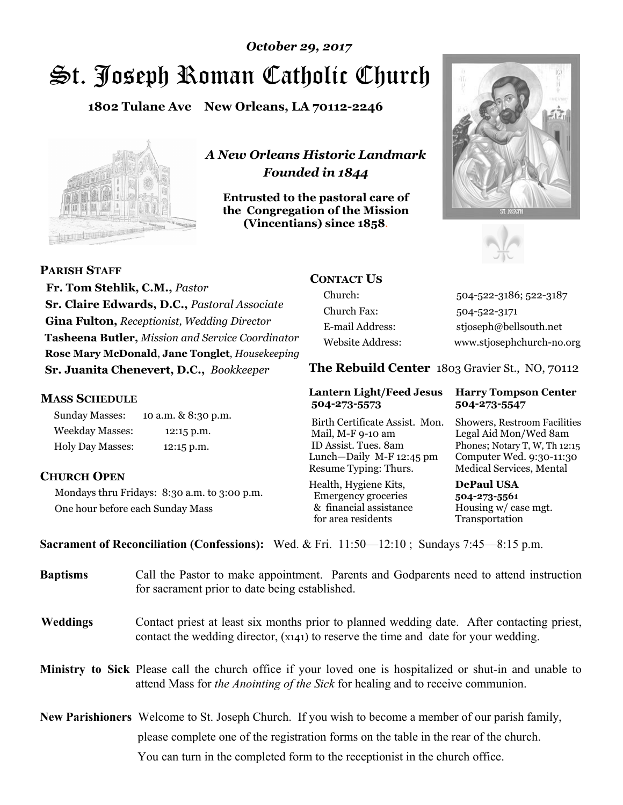# St. Joseph Roman Catholic Church *October 29, 2017*

**1802 Tulane Ave New Orleans, LA 70112-2246**



*A New Orleans Historic Landmark Founded in 1844* 

**Entrusted to the pastoral care of the Congregation of the Mission (Vincentians) since 1858**.





 **Fr. Tom Stehlik, C.M.,** *Pastor* **Sr. Claire Edwards, D.C.,** *Pastoral Associate* **Gina Fulton,** *Receptionist, Wedding Director* **Tasheena Butler,** *Mission and Service Coordinator* **Rose Mary McDonald**, **Jane Tonglet**, *Housekeeping* 

**Sr. Juanita Chenevert, D.C.,** *Bookkeeper* 

# **MASS SCHEDULE**

**PARISH STAFF**

Sunday Masses: 10 a.m. & 8:30 p.m. Weekday Masses: 12:15 p.m. Holy Day Masses: 12:15 p.m.

# **CHURCH OPEN**

Mondays thru Fridays: 8:30 a.m. to 3:00 p.m. One hour before each Sunday Mass

# **CONTACT US**

Church: 504-522-3186; 522-3187 Church Fax: 504-522-3171 E-mail Address: stjoseph@bellsouth.net Website Address: www.stjosephchurch-no.org

**The Rebuild Center** 1803 Gravier St., NO, 70112

#### **Lantern Light/Feed Jesus Harry Tompson Center 504-273-5573 504-273-5547**

Birth Certificate Assist. Mon. Showers, Restroom Facilities Mail, M-F 9-10 am Legal Aid Mon/Wed 8am ID Assist. Tues. 8am Phones; Notary T, W, Th 12:15 Lunch—Daily M-F 12:45 pm Computer Wed. 9:30-11:30 Resume Typing: Thurs. Medical Services, Mental

Health, Hygiene Kits, **DePaul USA**  Emergency groceries **504-273-5561** & financial assistance Housing w/ case mgt.<br>for area residents Transportation for area residents

**Sacrament of Reconciliation (Confessions):** Wed. & Fri. 11:50—12:10 ; Sundays 7:45—8:15 p.m.

| <b>Baptisms</b> | Call the Pastor to make appointment. Parents and Godparents need to attend instruction<br>for sacrament prior to date being established.                                                            |  |
|-----------------|-----------------------------------------------------------------------------------------------------------------------------------------------------------------------------------------------------|--|
| <b>Weddings</b> | Contact priest at least six months prior to planned wedding date. After contacting priest,<br>contact the wedding director, (x141) to reserve the time and date for your wedding.                   |  |
|                 | <b>Ministry to Sick</b> Please call the church office if your loved one is hospitalized or shut-in and unable to<br>attend Mass for the Anointing of the Sick for healing and to receive communion. |  |
|                 | <b>New Parishioners</b> Welcome to St. Joseph Church. If you wish to become a member of our parish family,                                                                                          |  |
|                 | please complete one of the registration forms on the table in the rear of the church.                                                                                                               |  |
|                 | You can turn in the completed form to the reception is the church office.                                                                                                                           |  |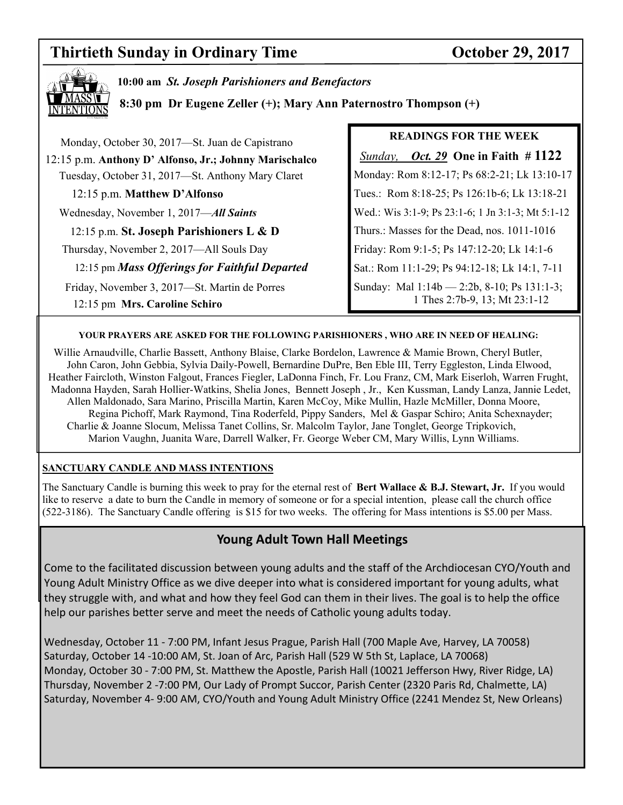# **Thirtieth Sunday in Ordinary Time Conserversity Coronal Conservation Coronal Conservation Coronal Conservation Conservation Conservation Conservation Conservation Conservation Conservation Conservation Conservation Conser**



**10:00 am** *St. Joseph Parishioners and Benefactors*

**8:30 pm Dr Eugene Zeller (+); Mary Ann Paternostro Thompson (+)**

| Monday, October 30, 2017—St. Juan de Capistrano                                | <b>READINGS FOR THE WEEK</b>                                                 |
|--------------------------------------------------------------------------------|------------------------------------------------------------------------------|
| 12:15 p.m. Anthony D' Alfonso, Jr.; Johnny Marischalco                         | <i><u>Sunday, Oct. 29</u></i> One in Faith $\# 1122$                         |
| Tuesday, October 31, 2017-St. Anthony Mary Claret                              | Monday: Rom 8:12-17; Ps 68:2-21; Lk 13:10-17                                 |
| 12:15 p.m. Matthew D'Alfonso                                                   | Tues.: Rom 8:18-25; Ps 126:1b-6; Lk 13:18-21                                 |
| Wednesday, November 1, 2017-All Saints                                         | Wed.: Wis 3:1-9; Ps 23:1-6; 1 Jn 3:1-3; Mt 5:1-12                            |
| 12:15 p.m. St. Joseph Parishioners L & D                                       | Thurs.: Masses for the Dead, nos. 1011-1016                                  |
| Thursday, November 2, 2017—All Souls Day                                       | Friday: Rom 9:1-5; Ps 147:12-20; Lk 14:1-6                                   |
| 12:15 pm Mass Offerings for Faithful Departed                                  | Sat.: Rom 11:1-29; Ps 94:12-18; Lk 14:1, 7-11                                |
| Friday, November 3, 2017—St. Martin de Porres<br>12:15 pm Mrs. Caroline Schiro | Sunday: Mal 1:14b - 2:2b, 8-10; Ps 131:1-3;<br>1 Thes 2:7b-9, 13; Mt 23:1-12 |

#### **YOUR PRAYERS ARE ASKED FOR THE FOLLOWING PARISHIONERS , WHO ARE IN NEED OF HEALING:**

 Willie Arnaudville, Charlie Bassett, Anthony Blaise, Clarke Bordelon, Lawrence & Mamie Brown, Cheryl Butler, John Caron, John Gebbia, Sylvia Daily-Powell, Bernardine DuPre, Ben Eble III, Terry Eggleston, Linda Elwood, Heather Faircloth, Winston Falgout, Frances Fiegler, LaDonna Finch, Fr. Lou Franz, CM, Mark Eiserloh, Warren Frught, Madonna Hayden, Sarah Hollier-Watkins, Shelia Jones, Bennett Joseph , Jr., Ken Kussman, Landy Lanza, Jannie Ledet, Allen Maldonado, Sara Marino, Priscilla Martin, Karen McCoy, Mike Mullin, Hazle McMiller, Donna Moore, Regina Pichoff, Mark Raymond, Tina Roderfeld, Pippy Sanders, Mel & Gaspar Schiro; Anita Schexnayder; Charlie & Joanne Slocum, Melissa Tanet Collins, Sr. Malcolm Taylor, Jane Tonglet, George Tripkovich, Marion Vaughn, Juanita Ware, Darrell Walker, Fr. George Weber CM, Mary Willis, Lynn Williams.

#### **SANCTUARY CANDLE AND MASS INTENTIONS**

The Sanctuary Candle is burning this week to pray for the eternal rest of **Bert Wallace & B.J. Stewart, Jr.** If you would like to reserve a date to burn the Candle in memory of someone or for a special intention, please call the church office (522-3186). The Sanctuary Candle offering is \$15 for two weeks. The offering for Mass intentions is \$5.00 per Mass.

### **Young Adult Town Hall Meetings**

Come to the facilitated discussion between young adults and the staff of the Archdiocesan CYO/Youth and Young Adult Ministry Office as we dive deeper into what is considered important for young adults, what they struggle with, and what and how they feel God can them in their lives. The goal is to help the office help our parishes better serve and meet the needs of Catholic young adults today.

Wednesday, October 11 - 7:00 PM, Infant Jesus Prague, Parish Hall (700 Maple Ave, Harvey, LA 70058) Saturday, October 14 -10:00 AM, St. Joan of Arc, Parish Hall (529 W 5th St, Laplace, LA 70068) Monday, October 30 - 7:00 PM, St. Matthew the Apostle, Parish Hall (10021 Jefferson Hwy, River Ridge, LA) Thursday, November 2 -7:00 PM, Our Lady of Prompt Succor, Parish Center (2320 Paris Rd, Chalmette, LA) Saturday, November 4- 9:00 AM, CYO/Youth and Young Adult Ministry Office (2241 Mendez St, New Orleans)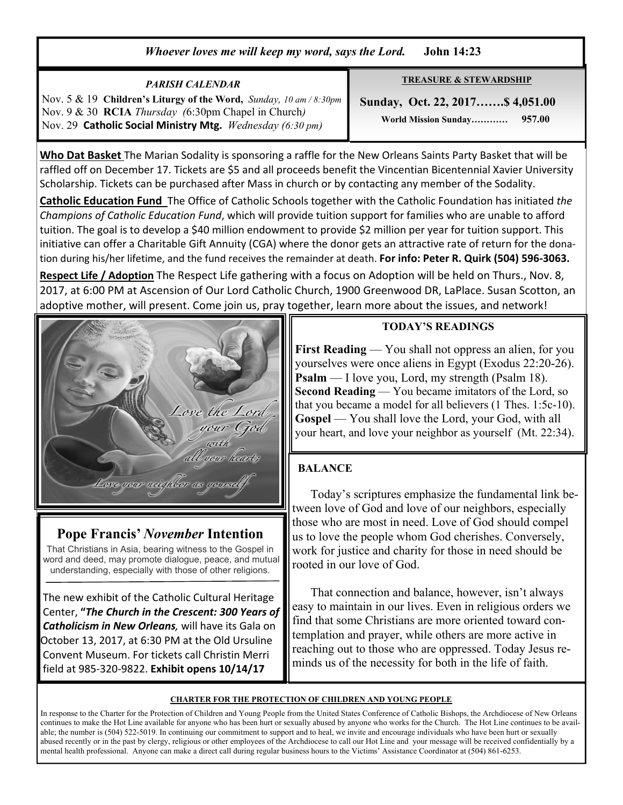# *Whoever loves me will keep my word, says the Lord.* **John 14:23**

#### **TREASURE & STEWARDSHIP Sunday, Oct. 22, 2017…….\$ 4,051.00 World Mission Sunday………… 957.00**  *PARISH CALENDAR*  Nov. 5 & 19 **Children's Liturgy of the Word,** *Sunday, 10 am / 8:30pm* Nov. 9 & 30 **RCIA** *Thursday (*6:30pm Chapel in Church*)*  Nov. 29 **Catholic Social Ministry Mtg.** *Wednesday (6:30 pm)*

**Who Dat Basket** The Marian Sodality is sponsoring a raffle for the New Orleans Saints Party Basket that will be raffled off on December 17. Tickets are \$5 and all proceeds benefit the Vincentian Bicentennial Xavier University Scholarship. Tickets can be purchased after Mass in church or by contacting any member of the Sodality.

**Catholic Education Fund** The Office of Catholic Schools together with the Catholic Foundation has initiated *the Champions of Catholic Education Fund*, which will provide tuition support for families who are unable to afford tuition. The goal is to develop a \$40 million endowment to provide \$2 million per year for tuition support. This initiative can offer a Charitable Gift Annuity (CGA) where the donor gets an attractive rate of return for the donation during his/her lifetime, and the fund receives the remainder at death. **For info: Peter R. Quirk (504) 596-3063.** 

**Respect Life / Adoption** The Respect Life gathering with a focus on Adoption will be held on Thurs., Nov. 8, 2017, at 6:00 PM at Ascension of Our Lord Catholic Church, 1900 Greenwood DR, LaPlace. Susan Scotton, an adoptive mother, will present. Come join us, pray together, learn more about the issues, and network!



# **Pope Francis'** *November* **Intention**

That Christians in Asia, bearing witness to the Gospel in word and deed, may promote dialogue, peace, and mutual understanding, especially with those of other religions.

 The new exhibit of the Catholic Cultural Heritage Center, **"***The Church in the Crescent: 300 Years of Catholicism in New Orleans,* will have its Gala on October 13, 2017, at 6:30 PM at the Old Ursuline Convent Museum. For tickets call Christin Merri field at 985-320-9822. **Exhibit opens 10/14/17**

### **TODAY'S READINGS**

**First Reading** — You shall not oppress an alien, for you yourselves were once aliens in Egypt (Exodus 22:20-26). **Psalm** — I love you, Lord, my strength (Psalm 18). **Second Reading** — You became imitators of the Lord, so that you became a model for all believers (1 Thes. 1:5c-10). **Gospel** — You shall love the Lord, your God, with all your heart, and love your neighbor as yourself (Mt. 22:34).

# **BALANCE**

 Today's scriptures emphasize the fundamental link between love of God and love of our neighbors, especially those who are most in need. Love of God should compel us to love the people whom God cherishes. Conversely, work for justice and charity for those in need should be rooted in our love of God.

 That connection and balance, however, isn't always easy to maintain in our lives. Even in religious orders we find that some Christians are more oriented toward contemplation and prayer, while others are more active in reaching out to those who are oppressed. Today Jesus reminds us of the necessity for both in the life of faith.

#### **CHARTER FOR THE PROTECTION OF CHILDREN AND YOUNG PEOPLE**

In response to the Charter for the Protection of Children and Young People from the United States Conference of Catholic Bishops, the Archdiocese of New Orleans continues to make the Hot Line available for anyone who has been hurt or sexually abused by anyone who works for the Church. The Hot Line continues to be available; the number is (504) 522-5019. In continuing our commitment to support and to heal, we invite and encourage individuals who have been hurt or sexually abused recently or in the past by clergy, religious or other employees of the Archdiocese to call our Hot Line and your message will be received confidentially by a mental health professional. Anyone can make a direct call during regular business hours to the Victims' Assistance Coordinator at (504) 861-6253.